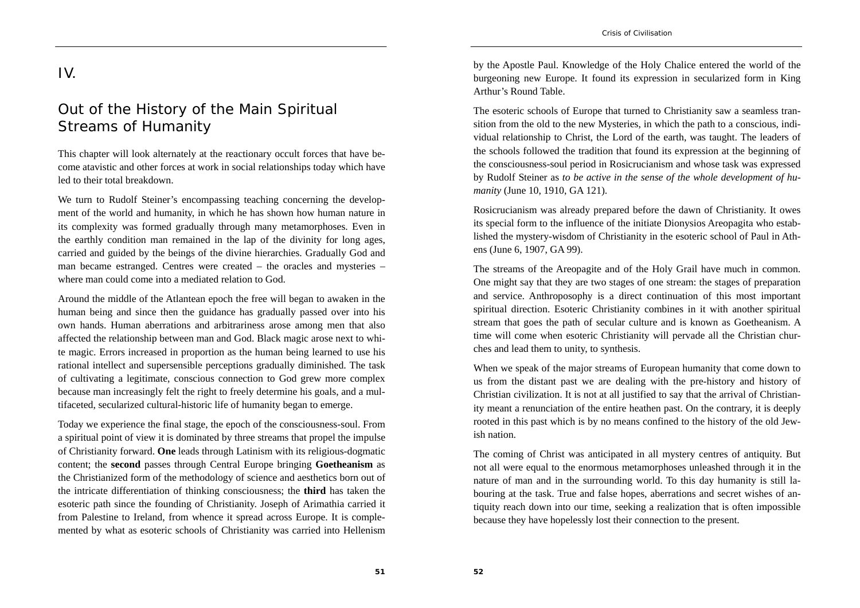## IV.

## Out of the History of the Main Spiritual Streams of Humanity

This chapter will look alternately at the reactionary occult forces that have become atavistic and other forces at work in social relationships today which have led to their total breakdown.

We turn to Rudolf Steiner's encompassing teaching concerning the development of the world and humanity, in which he has shown how human nature in its complexity was formed gradually through many metamorphoses. Even in the earthly condition man remained in the lap of the divinity for long ages, carried and guided by the beings of the divine hierarchies. Gradually God and man became estranged. Centres were created – the oracles and mysteries – where man could come into a mediated relation to God.

Around the middle of the Atlantean epoch the free will began to awaken in the human being and since then the guidance has gradually passed over into his own hands. Human aberrations and arbitrariness arose among men that also affected the relationship between man and God. Black magic arose next to white magic. Errors increased in proportion as the human being learned to use his rational intellect and supersensible perceptions gradually diminished. The task of cultivating a legitimate, conscious connection to God grew more complex because man increasingly felt the right to freely determine his goals, and a multifaceted, secularized cultural-historic life of humanity began to emerge.

Today we experience the final stage, the epoch of the consciousness-soul. From a spiritual point of view it is dominated by three streams that propel the impulse of Christianity forward. **One** leads through Latinism with its religious-dogmatic content; the **second** passes through Central Europe bringing **Goetheanism** as the Christianized form of the methodology of science and aesthetics born out of the intricate differentiation of thinking consciousness; the **third** has taken the esoteric path since the founding of Christianity. Joseph of Arimathia carried it from Palestine to Ireland, from whence it spread across Europe. It is complemented by what as esoteric schools of Christianity was carried into Hellenism

by the Apostle Paul. Knowledge of the Holy Chalice entered the world of the burgeoning new Europe. It found its expression in secularized form in King Arthur's Round Table.

The esoteric schools of Europe that turned to Christianity saw a seamless transition from the old to the new Mysteries, in which the path to a conscious, individual relationship to Christ, the Lord of the earth, was taught. The leaders of the schools followed the tradition that found its expression at the beginning of the consciousness-soul period in Rosicrucianism and whose task was expressed by Rudolf Steiner as *to be active in the sense of the whole development of humanity* (June 10, 1910, GA 121).

Rosicrucianism was already prepared before the dawn of Christianity. It owes its special form to the influence of the initiate Dionysios Areopagita who established the mystery-wisdom of Christianity in the esoteric school of Paul in Athens (June 6, 1907, GA 99).

The streams of the Areopagite and of the Holy Grail have much in common. One might say that they are two stages of one stream: the stages of preparation and service. Anthroposophy is a direct continuation of this most important spiritual direction. Esoteric Christianity combines in it with another spiritual stream that goes the path of secular culture and is known as Goetheanism. A time will come when esoteric Christianity will pervade all the Christian churches and lead them to unity, to synthesis.

When we speak of the major streams of European humanity that come down to us from the distant past we are dealing with the pre-history and history of Christian civilization. It is not at all justified to say that the arrival of Christianity meant a renunciation of the entire heathen past. On the contrary, it is deeply rooted in this past which is by no means confined to the history of the old Jewish nation.

The coming of Christ was anticipated in all mystery centres of antiquity. But not all were equal to the enormous metamorphoses unleashed through it in the nature of man and in the surrounding world. To this day humanity is still labouring at the task. True and false hopes, aberrations and secret wishes of antiquity reach down into our time, seeking a realization that is often impossible because they have hopelessly lost their connection to the present.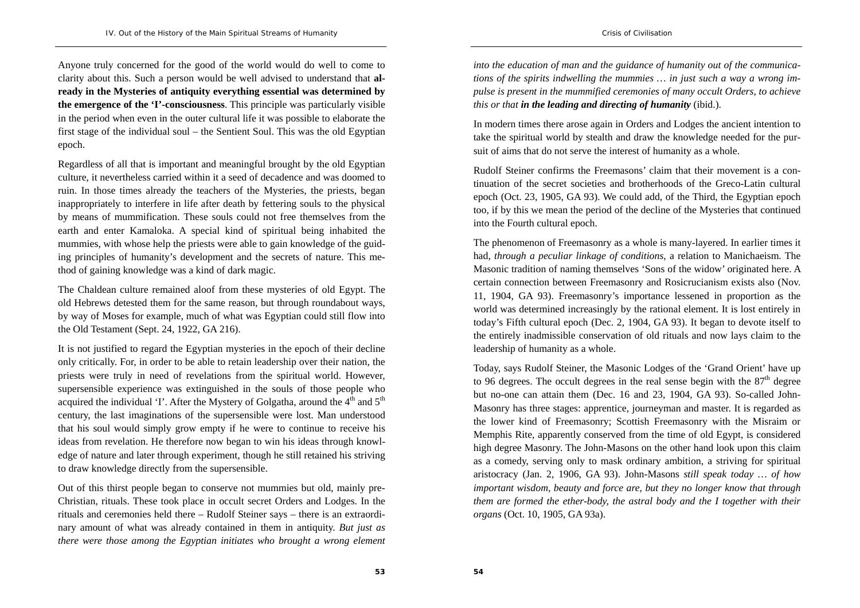Anyone truly concerned for the good of the world would do well to come to clarity about this. Such a person would be well advised to understand that **already in the Mysteries of antiquity everything essential was determined by the emergence of the 'I'-consciousness**. This principle was particularly visible in the period when even in the outer cultural life it was possible to elaborate the first stage of the individual soul – the Sentient Soul. This was the old Egyptian epoch.

Regardless of all that is important and meaningful brought by the old Egyptian culture, it nevertheless carried within it a seed of decadence and was doomed to ruin. In those times already the teachers of the Mysteries, the priests, began inappropriately to interfere in life after death by fettering souls to the physical by means of mummification. These souls could not free themselves from the earth and enter Kamaloka. A special kind of spiritual being inhabited the mummies, with whose help the priests were able to gain knowledge of the guiding principles of humanity's development and the secrets of nature. This method of gaining knowledge was a kind of dark magic.

The Chaldean culture remained aloof from these mysteries of old Egypt. The old Hebrews detested them for the same reason, but through roundabout ways, by way of Moses for example, much of what was Egyptian could still flow into the Old Testament (Sept. 24, 1922, GA 216).

It is not justified to regard the Egyptian mysteries in the epoch of their decline only critically. For, in order to be able to retain leadership over their nation, the priests were truly in need of revelations from the spiritual world. However, supersensible experience was extinguished in the souls of those people who acquired the individual 'I'. After the Mystery of Golgatha, around the  $4<sup>th</sup>$  and  $5<sup>th</sup>$ century, the last imaginations of the supersensible were lost. Man understood that his soul would simply grow empty if he were to continue to receive his ideas from revelation. He therefore now began to win his ideas through knowledge of nature and later through experiment, though he still retained his striving to draw knowledge directly from the supersensible.

Out of this thirst people began to conserve not mummies but old, mainly pre-Christian, rituals. These took place in occult secret Orders and Lodges. In the rituals and ceremonies held there – Rudolf Steiner says – there is an extraordinary amount of what was already contained in them in antiquity. *But just as there were those among the Egyptian initiates who brought a wrong element*  *into the education of man and the guidance of humanity out of the communications of the spirits indwelling the mummies … in just such a way a wrong impulse is present in the mummified ceremonies of many occult Orders, to achieve this or that in the leading and directing of humanity* (ibid.).

In modern times there arose again in Orders and Lodges the ancient intention to take the spiritual world by stealth and draw the knowledge needed for the pursuit of aims that do not serve the interest of humanity as a whole.

Rudolf Steiner confirms the Freemasons' claim that their movement is a continuation of the secret societies and brotherhoods of the Greco-Latin cultural epoch (Oct. 23, 1905, GA 93). We could add, of the Third, the Egyptian epoch too, if by this we mean the period of the decline of the Mysteries that continued into the Fourth cultural epoch.

The phenomenon of Freemasonry as a whole is many-layered. In earlier times it had, *through a peculiar linkage of conditions*, a relation to Manichaeism. The Masonic tradition of naming themselves 'Sons of the widow' originated here. A certain connection between Freemasonry and Rosicrucianism exists also (Nov. 11, 1904, GA 93). Freemasonry's importance lessened in proportion as the world was determined increasingly by the rational element. It is lost entirely in today's Fifth cultural epoch (Dec. 2, 1904, GA 93). It began to devote itself to the entirely inadmissible conservation of old rituals and now lays claim to the leadership of humanity as a whole.

Today, says Rudolf Steiner, the Masonic Lodges of the 'Grand Orient' have up to 96 degrees. The occult degrees in the real sense begin with the  $87<sup>th</sup>$  degree but no-one can attain them (Dec. 16 and 23, 1904, GA 93). So-called John-Masonry has three stages: apprentice, journeyman and master. It is regarded as the lower kind of Freemasonry; Scottish Freemasonry with the Misraim or Memphis Rite, apparently conserved from the time of old Egypt, is considered high degree Masonry. The John-Masons on the other hand look upon this claim as a comedy, serving only to mask ordinary ambition, a striving for spiritual aristocracy (Jan. 2, 1906, GA 93). John-Masons *still speak today … of how important wisdom, beauty and force are, but they no longer know that through them are formed the ether-body, the astral body and the I together with their organs* (Oct. 10, 1905, GA 93a).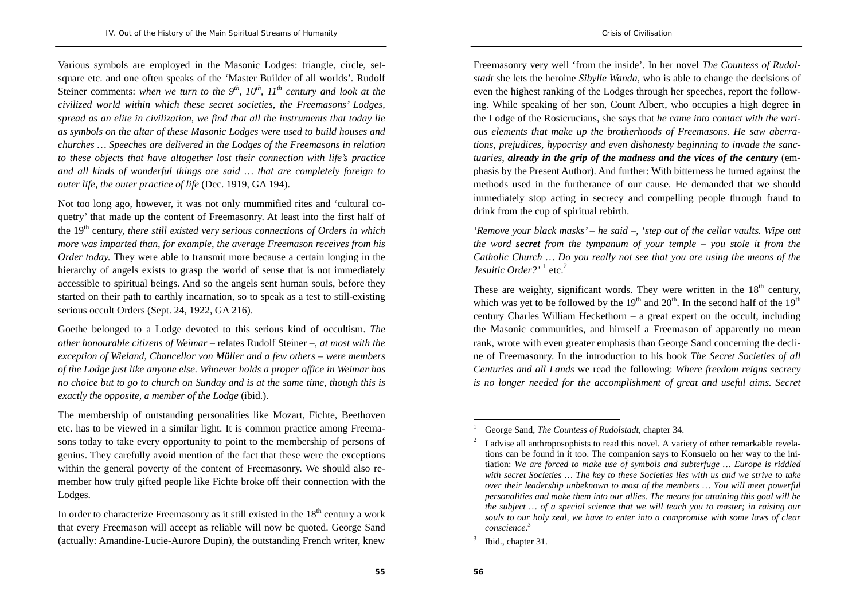Various symbols are employed in the Masonic Lodges: triangle, circle, setsquare etc. and one often speaks of the 'Master Builder of all worlds'. Rudolf Steiner comments: when we turn to the  $9<sup>th</sup>$ ,  $10<sup>th</sup>$ ,  $11<sup>th</sup>$  century and look at the *civilized world within which these secret societies, the Freemasons' Lodges, spread as an elite in civilization, we find that all the instruments that today lie as symbols on the altar of these Masonic Lodges were used to build houses and churches … Speeches are delivered in the Lodges of the Freemasons in relation to these objects that have altogether lost their connection with life's practice and all kinds of wonderful things are said … that are completely foreign to outer life, the outer practice of life* (Dec. 1919, GA 194).

Not too long ago, however, it was not only mummified rites and 'cultural coquetry' that made up the content of Freemasonry. At least into the first half of the 19<sup>th</sup> century, *there still existed very serious connections of Orders in which more was imparted than, for example, the average Freemason receives from his Order today.* They were able to transmit more because a certain longing in the hierarchy of angels exists to grasp the world of sense that is not immediately accessible to spiritual beings. And so the angels sent human souls, before they started on their path to earthly incarnation, so to speak as a test to still-existing serious occult Orders (Sept. 24, 1922, GA 216).

Goethe belonged to a Lodge devoted to this serious kind of occultism. *The other honourable citizens of Weimar* – relates Rudolf Steiner –, *at most with the exception of Wieland, Chancellor von Müller and a few others – were members of the Lodge just like anyone else. Whoever holds a proper office in Weimar has no choice but to go to church on Sunday and is at the same time, though this is exactly the opposite, a member of the Lodge* (ibid.).

The membership of outstanding personalities like Mozart, Fichte, Beethoven etc. has to be viewed in a similar light. It is common practice among Freemasons today to take every opportunity to point to the membership of persons of genius. They carefully avoid mention of the fact that these were the exceptions within the general poverty of the content of Freemasonry. We should also remember how truly gifted people like Fichte broke off their connection with the Lodges.

In order to characterize Freemasonry as it still existed in the  $18<sup>th</sup>$  century a work that every Freemason will accept as reliable will now be quoted. George Sand (actually: Amandine-Lucie-Aurore Dupin), the outstanding French writer, knew

Freemasonry very well 'from the inside'. In her novel *The Countess of Rudolstadt* she lets the heroine *Sibylle Wanda*, who is able to change the decisions of even the highest ranking of the Lodges through her speeches, report the following. While speaking of her son, Count Albert, who occupies a high degree in the Lodge of the Rosicrucians, she says that *he came into contact with the various elements that make up the brotherhoods of Freemasons. He saw aberrations, prejudices, hypocrisy and even dishonesty beginning to invade the sanctuaries, already in the grip of the madness and the vices of the century* (emphasis by the Present Author). And further: With bitterness he turned against the methods used in the furtherance of our cause. He demanded that we should immediately stop acting in secrecy and compelling people through fraud to drink from the cup of spiritual rebirth.

*'Remove your black masks' – he said –, 'step out of the cellar vaults. Wipe out the word secret from the tympanum of your temple – you stole it from the Catholic Church … Do you really not see that you are using the means of the Jesuitic Order?'* 1 etc.2

These are weighty, significant words. They were written in the  $18<sup>th</sup>$  century, which was yet to be followed by the  $19<sup>th</sup>$  and  $20<sup>th</sup>$ . In the second half of the  $19<sup>th</sup>$ century Charles William Heckethorn – a great expert on the occult, including the Masonic communities, and himself a Freemason of apparently no mean rank, wrote with even greater emphasis than George Sand concerning the decline of Freemasonry. In the introduction to his book *The Secret Societies of all Centuries and all Lands* we read the following: *Where freedom reigns secrecy is no longer needed for the accomplishment of great and useful aims. Secret* 

<sup>1</sup> George Sand, *The Countess of Rudolstadt*, chapter 34.

<sup>2</sup> I advise all anthroposophists to read this novel. A variety of other remarkable revelations can be found in it too. The companion says to Konsuelo on her way to the initiation: *We are forced to make use of symbols and subterfuge … Europe is riddled with secret Societies … The key to these Societies lies with us and we strive to take over their leadership unbeknown to most of the members … You will meet powerful personalities and make them into our allies. The means for attaining this goal will be the subject … of a special science that we will teach you to master; in raising our souls to our holy zeal, we have to enter into a compromise with some laws of clear conscience*.<sup>3</sup>

<sup>&</sup>lt;sup>3</sup> Ibid., chapter 31.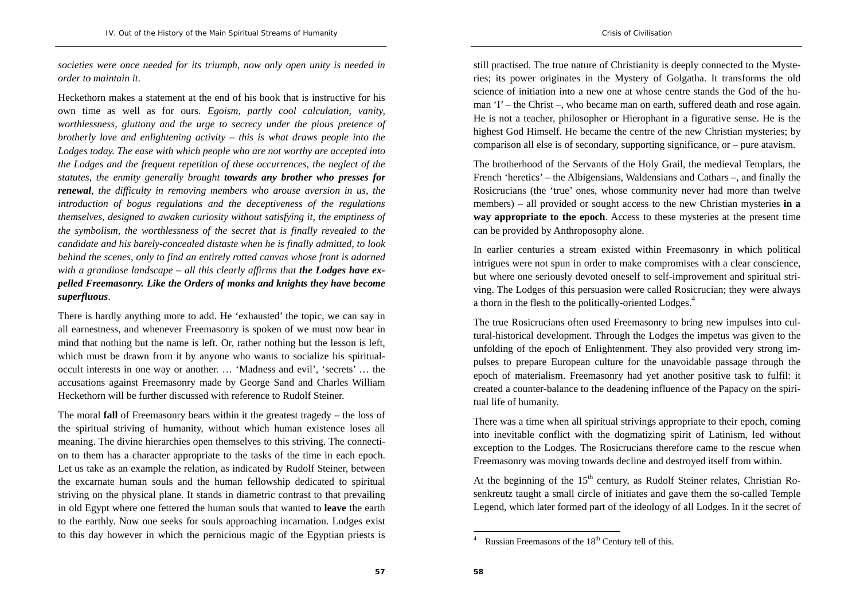*societies were once needed for its triumph, now only open unity is needed in order to maintain it*.

Heckethorn makes a statement at the end of his book that is instructive for his own time as well as for ours. *Egoism, partly cool calculation, vanity, worthlessness, gluttony and the urge to secrecy under the pious pretence of brotherly love and enlightening activity – this is what draws people into the Lodges today. The ease with which people who are not worthy are accepted into the Lodges and the frequent repetition of these occurrences, the neglect of the statutes, the enmity generally brought towards any brother who presses for renewal, the difficulty in removing members who arouse aversion in us, the introduction of bogus regulations and the deceptiveness of the regulations themselves, designed to awaken curiosity without satisfying it, the emptiness of the symbolism, the worthlessness of the secret that is finally revealed to the candidate and his barely-concealed distaste when he is finally admitted, to look behind the scenes, only to find an entirely rotted canvas whose front is adorned*  with a grandiose landscape – all this clearly affirms that **the Lodges have ex***pelled Freemasonry. Like the Orders of monks and knights they have become superfluous*.

There is hardly anything more to add. He 'exhausted' the topic, we can say in all earnestness, and whenever Freemasonry is spoken of we must now bear in mind that nothing but the name is left. Or, rather nothing but the lesson is left, which must be drawn from it by anyone who wants to socialize his spiritualoccult interests in one way or another. … 'Madness and evil', 'secrets' … the accusations against Freemasonry made by George Sand and Charles William Heckethorn will be further discussed with reference to Rudolf Steiner.

The moral **fall** of Freemasonry bears within it the greatest tragedy – the loss of the spiritual striving of humanity, without which human existence loses all meaning. The divine hierarchies open themselves to this striving. The connection to them has a character appropriate to the tasks of the time in each epoch. Let us take as an example the relation, as indicated by Rudolf Steiner, between the excarnate human souls and the human fellowship dedicated to spiritual striving on the physical plane. It stands in diametric contrast to that prevailing in old Egypt where one fettered the human souls that wanted to **leave** the earth to the earthly. Now one seeks for souls approaching incarnation. Lodges exist to this day however in which the pernicious magic of the Egyptian priests is

still practised. The true nature of Christianity is deeply connected to the Mysteries; its power originates in the Mystery of Golgatha. It transforms the old science of initiation into a new one at whose centre stands the God of the human 'I' – the Christ –, who became man on earth, suffered death and rose again. He is not a teacher, philosopher or Hierophant in a figurative sense. He is the highest God Himself. He became the centre of the new Christian mysteries; by comparison all else is of secondary, supporting significance, or – pure atavism.

The brotherhood of the Servants of the Holy Grail, the medieval Templars, the French 'heretics' – the Albigensians, Waldensians and Cathars –, and finally the Rosicrucians (the 'true' ones, whose community never had more than twelve members) – all provided or sought access to the new Christian mysteries **in a way appropriate to the epoch**. Access to these mysteries at the present time can be provided by Anthroposophy alone.

In earlier centuries a stream existed within Freemasonry in which political intrigues were not spun in order to make compromises with a clear conscience, but where one seriously devoted oneself to self-improvement and spiritual striving. The Lodges of this persuasion were called Rosicrucian; they were always a thorn in the flesh to the politically-oriented Lodges.<sup>4</sup>

The true Rosicrucians often used Freemasonry to bring new impulses into cultural-historical development. Through the Lodges the impetus was given to the unfolding of the epoch of Enlightenment. They also provided very strong impulses to prepare European culture for the unavoidable passage through the epoch of materialism. Freemasonry had yet another positive task to fulfil: it created a counter-balance to the deadening influence of the Papacy on the spiritual life of humanity.

There was a time when all spiritual strivings appropriate to their epoch, coming into inevitable conflict with the dogmatizing spirit of Latinism, led without exception to the Lodges. The Rosicrucians therefore came to the rescue when Freemasonry was moving towards decline and destroyed itself from within.

At the beginning of the  $15<sup>th</sup>$  century, as Rudolf Steiner relates, Christian Rosenkreutz taught a small circle of initiates and gave them the so-called Temple Legend, which later formed part of the ideology of all Lodges. In it the secret of

Russian Freemasons of the 18<sup>th</sup> Century tell of this.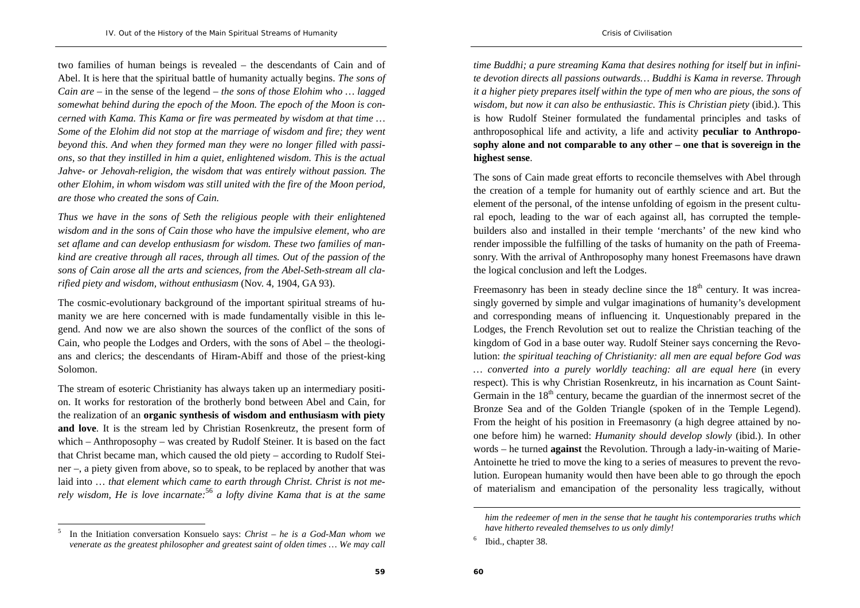two families of human beings is revealed – the descendants of Cain and of Abel. It is here that the spiritual battle of humanity actually begins. *The sons of Cain are* – in the sense of the legend – *the sons of those Elohim who … lagged somewhat behind during the epoch of the Moon. The epoch of the Moon is concerned with Kama. This Kama or fire was permeated by wisdom at that time … Some of the Elohim did not stop at the marriage of wisdom and fire; they went beyond this. And when they formed man they were no longer filled with passions, so that they instilled in him a quiet, enlightened wisdom. This is the actual Jahve- or Jehovah-religion, the wisdom that was entirely without passion. The other Elohim, in whom wisdom was still united with the fire of the Moon period, are those who created the sons of Cain.* 

*Thus we have in the sons of Seth the religious people with their enlightened wisdom and in the sons of Cain those who have the impulsive element, who are set aflame and can develop enthusiasm for wisdom. These two families of mankind are creative through all races, through all times. Out of the passion of the sons of Cain arose all the arts and sciences, from the Abel-Seth-stream all clarified piety and wisdom, without enthusiasm* (Nov. 4, 1904, GA 93).

The cosmic-evolutionary background of the important spiritual streams of humanity we are here concerned with is made fundamentally visible in this legend. And now we are also shown the sources of the conflict of the sons of Cain, who people the Lodges and Orders, with the sons of Abel – the theologians and clerics; the descendants of Hiram-Abiff and those of the priest-king Solomon.

The stream of esoteric Christianity has always taken up an intermediary position. It works for restoration of the brotherly bond between Abel and Cain, for the realization of an **organic synthesis of wisdom and enthusiasm with piety and love**. It is the stream led by Christian Rosenkreutz, the present form of which – Anthroposophy – was created by Rudolf Steiner. It is based on the fact that Christ became man, which caused the old piety – according to Rudolf Steiner –, a piety given from above, so to speak, to be replaced by another that was laid into … *that element which came to earth through Christ. Christ is not merely wisdom, He is love incarnate:*<sup>56</sup> *a lofty divine Kama that is at the same* 

*time Buddhi; a pure streaming Kama that desires nothing for itself but in infinite devotion directs all passions outwards… Buddhi is Kama in reverse. Through it a higher piety prepares itself within the type of men who are pious, the sons of wisdom, but now it can also be enthusiastic. This is Christian piety* (ibid.). This is how Rudolf Steiner formulated the fundamental principles and tasks of anthroposophical life and activity, a life and activity **peculiar to Anthroposophy alone and not comparable to any other – one that is sovereign in the highest sense**.

The sons of Cain made great efforts to reconcile themselves with Abel through the creation of a temple for humanity out of earthly science and art. But the element of the personal, of the intense unfolding of egoism in the present cultural epoch, leading to the war of each against all, has corrupted the templebuilders also and installed in their temple 'merchants' of the new kind who render impossible the fulfilling of the tasks of humanity on the path of Freemasonry. With the arrival of Anthroposophy many honest Freemasons have drawn the logical conclusion and left the Lodges.

Freemasonry has been in steady decline since the  $18<sup>th</sup>$  century. It was increasingly governed by simple and vulgar imaginations of humanity's development and corresponding means of influencing it. Unquestionably prepared in the Lodges, the French Revolution set out to realize the Christian teaching of the kingdom of God in a base outer way. Rudolf Steiner says concerning the Revolution: *the spiritual teaching of Christianity: all men are equal before God was … converted into a purely worldly teaching: all are equal here* (in every respect). This is why Christian Rosenkreutz, in his incarnation as Count Saint-Germain in the  $18<sup>th</sup>$  century, became the guardian of the innermost secret of the Bronze Sea and of the Golden Triangle (spoken of in the Temple Legend). From the height of his position in Freemasonry (a high degree attained by noone before him) he warned: *Humanity should develop slowly* (ibid.). In other words – he turned **against** the Revolution. Through a lady-in-waiting of Marie-Antoinette he tried to move the king to a series of measures to prevent the revolution. European humanity would then have been able to go through the epoch of materialism and emancipation of the personality less tragically, without

<sup>5</sup> In the Initiation conversation Konsuelo says: *Christ – he is a God-Man whom we venerate as the greatest philosopher and greatest saint of olden times … We may call* 

*him the redeemer of men in the sense that he taught his contemporaries truths which have hitherto revealed themselves to us only dimly!*

<sup>6</sup> Ibid., chapter 38.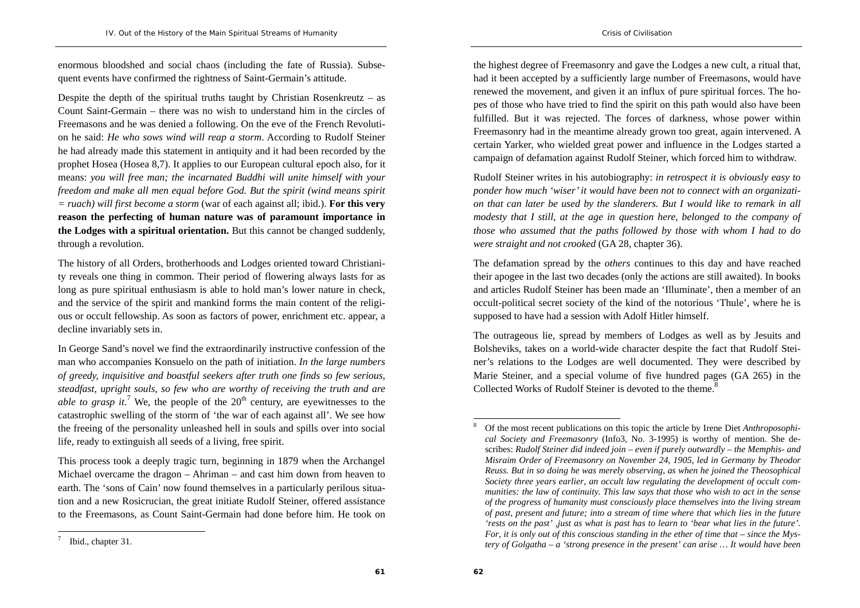enormous bloodshed and social chaos (including the fate of Russia). Subsequent events have confirmed the rightness of Saint-Germain's attitude.

Despite the depth of the spiritual truths taught by Christian Rosenkreutz – as Count Saint-Germain – there was no wish to understand him in the circles of Freemasons and he was denied a following. On the eve of the French Revolution he said: *He who sows wind will reap a storm*. According to Rudolf Steiner he had already made this statement in antiquity and it had been recorded by the prophet Hosea (Hosea 8,7). It applies to our European cultural epoch also, for it means: *you will free man; the incarnated Buddhi will unite himself with your freedom and make all men equal before God. But the spirit (wind means spirit = ruach) will first become a storm* (war of each against all; ibid.). **For this very reason the perfecting of human nature was of paramount importance in the Lodges with a spiritual orientation.** But this cannot be changed suddenly, through a revolution.

The history of all Orders, brotherhoods and Lodges oriented toward Christianity reveals one thing in common. Their period of flowering always lasts for as long as pure spiritual enthusiasm is able to hold man's lower nature in check, and the service of the spirit and mankind forms the main content of the religious or occult fellowship. As soon as factors of power, enrichment etc. appear, a decline invariably sets in.

In George Sand's novel we find the extraordinarily instructive confession of the man who accompanies Konsuelo on the path of initiation. *In the large numbers of greedy, inquisitive and boastful seekers after truth one finds so few serious, steadfast, upright souls, so few who are worthy of receiving the truth and are able to grasp it*.<sup>7</sup> We, the people of the  $20<sup>th</sup>$  century, are eyewitnesses to the catastrophic swelling of the storm of 'the war of each against all'. We see how the freeing of the personality unleashed hell in souls and spills over into social life, ready to extinguish all seeds of a living, free spirit.

This process took a deeply tragic turn, beginning in 1879 when the Archangel Michael overcame the dragon – Ahriman – and cast him down from heaven to earth. The 'sons of Cain' now found themselves in a particularly perilous situation and a new Rosicrucian, the great initiate Rudolf Steiner, offered assistance to the Freemasons, as Count Saint-Germain had done before him. He took on Rudolf Steiner writes in his autobiography: *in retrospect it is obviously easy to ponder how much 'wiser' it would have been not to connect with an organization that can later be used by the slanderers. But I would like to remark in all modesty that I still, at the age in question here, belonged to the company of those who assumed that the paths followed by those with whom I had to do were straight and not crooked* (GA 28, chapter 36).

The defamation spread by the *others* continues to this day and have reached their apogee in the last two decades (only the actions are still awaited). In books and articles Rudolf Steiner has been made an 'Illuminate', then a member of an occult-political secret society of the kind of the notorious 'Thule', where he is supposed to have had a session with Adolf Hitler himself.

The outrageous lie, spread by members of Lodges as well as by Jesuits and Bolsheviks, takes on a world-wide character despite the fact that Rudolf Steiner's relations to the Lodges are well documented. They were described by Marie Steiner, and a special volume of five hundred pages (GA 265) in the Collected Works of Rudolf Steiner is devoted to the theme.<sup>8</sup>

the highest degree of Freemasonry and gave the Lodges a new cult, a ritual that, had it been accepted by a sufficiently large number of Freemasons, would have renewed the movement, and given it an influx of pure spiritual forces. The hopes of those who have tried to find the spirit on this path would also have been fulfilled. But it was rejected. The forces of darkness, whose power within Freemasonry had in the meantime already grown too great, again intervened. A certain Yarker, who wielded great power and influence in the Lodges started a campaign of defamation against Rudolf Steiner, which forced him to withdraw.

<sup>8</sup> Of the most recent publications on this topic the article by Irene Diet *Anthroposophical Society and Freemasonry* (Info3, No. 3-1995) is worthy of mention. She describes: *Rudolf Steiner did indeed join – even if purely outwardly – the Memphis- and Misraim Order of Freemasonry on November 24, 1905, led in Germany by Theodor Reuss. But in so doing he was merely observing, as when he joined the Theosophical Society three years earlier, an occult law regulating the development of occult communities: the law of continuity. This law says that those who wish to act in the sense of the progress of humanity must consciously place themselves into the living stream of past, present and future; into a stream of time where that which lies in the future 'rests on the past' ,just as what is past has to learn to 'bear what lies in the future'. For, it is only out of this conscious standing in the ether of time that – since the Mystery of Golgatha – a 'strong presence in the present' can arise … It would have been* 

Ibid., chapter 31.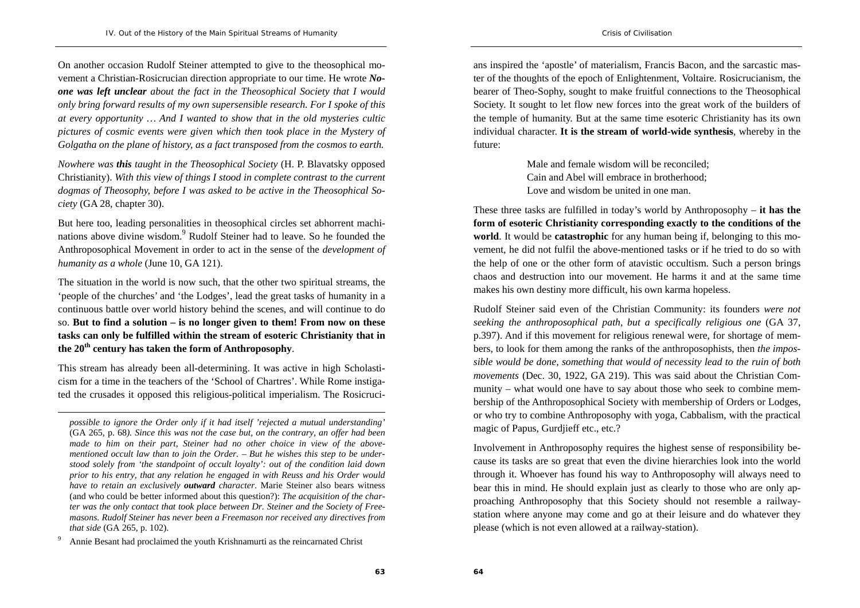On another occasion Rudolf Steiner attempted to give to the theosophical movement a Christian-Rosicrucian direction appropriate to our time. He wrote *Noone was left unclear about the fact in the Theosophical Society that I would only bring forward results of my own supersensible research. For I spoke of this at every opportunity … And I wanted to show that in the old mysteries cultic pictures of cosmic events were given which then took place in the Mystery of Golgatha on the plane of history, as a fact transposed from the cosmos to earth.* 

*Nowhere was this taught in the Theosophical Society* (H. P. Blavatsky opposed Christianity). *With this view of things I stood in complete contrast to the current dogmas of Theosophy, before I was asked to be active in the Theosophical Society* (GA 28, chapter 30).

But here too, leading personalities in theosophical circles set abhorrent machinations above divine wisdom.<sup>9</sup> Rudolf Steiner had to leave. So he founded the Anthroposophical Movement in order to act in the sense of the *development of humanity as a whole* (June 10, GA 121).

The situation in the world is now such, that the other two spiritual streams, the 'people of the churches' and 'the Lodges', lead the great tasks of humanity in a continuous battle over world history behind the scenes, and will continue to do so. **But to find a solution – is no longer given to them! From now on these tasks can only be fulfilled within the stream of esoteric Christianity that in the 20th century has taken the form of Anthroposophy**.

This stream has already been all-determining. It was active in high Scholasticism for a time in the teachers of the 'School of Chartres'. While Rome instigated the crusades it opposed this religious-political imperialism. The Rosicrucians inspired the 'apostle' of materialism, Francis Bacon, and the sarcastic master of the thoughts of the epoch of Enlightenment, Voltaire. Rosicrucianism, the bearer of Theo-Sophy, sought to make fruitful connections to the Theosophical Society. It sought to let flow new forces into the great work of the builders of the temple of humanity. But at the same time esoteric Christianity has its own individual character. **It is the stream of world-wide synthesis**, whereby in the future:

> Male and female wisdom will be reconciled; Cain and Abel will embrace in brotherhood; Love and wisdom be united in one man.

These three tasks are fulfilled in today's world by Anthroposophy – **it has the form of esoteric Christianity corresponding exactly to the conditions of the world**. It would be **catastrophic** for any human being if, belonging to this movement, he did not fulfil the above-mentioned tasks or if he tried to do so with the help of one or the other form of atavistic occultism. Such a person brings chaos and destruction into our movement. He harms it and at the same time makes his own destiny more difficult, his own karma hopeless.

Rudolf Steiner said even of the Christian Community: its founders *were not seeking the anthroposophical path, but a specifically religious one* (GA 37, p.397). And if this movement for religious renewal were, for shortage of members, to look for them among the ranks of the anthroposophists, then *the impossible would be done, something that would of necessity lead to the ruin of both movements* (Dec. 30, 1922, GA 219). This was said about the Christian Community – what would one have to say about those who seek to combine membership of the Anthroposophical Society with membership of Orders or Lodges, or who try to combine Anthroposophy with yoga, Cabbalism, with the practical magic of Papus, Gurdjieff etc., etc.?

Involvement in Anthroposophy requires the highest sense of responsibility because its tasks are so great that even the divine hierarchies look into the world through it. Whoever has found his way to Anthroposophy will always need to bear this in mind. He should explain just as clearly to those who are only approaching Anthroposophy that this Society should not resemble a railwaystation where anyone may come and go at their leisure and do whatever they please (which is not even allowed at a railway-station).

*possible to ignore the Order only if it had itself 'rejected a mutual understanding'*  (GA 265, p. 68*). Since this was not the case but, on the contrary, an offer had been made to him on their part, Steiner had no other choice in view of the abovementioned occult law than to join the Order. – But he wishes this step to be understood solely from 'the standpoint of occult loyalty': out of the condition laid down prior to his entry, that any relation he engaged in with Reuss and his Order would have to retain an exclusively outward character*. Marie Steiner also bears witness (and who could be better informed about this question?): *The acquisition of the charter was the only contact that took place between Dr. Steiner and the Society of Freemasons. Rudolf Steiner has never been a Freemason nor received any directives from that side* (GA 265, p. 102).

<sup>9</sup> Annie Besant had proclaimed the youth Krishnamurti as the reincarnated Christ